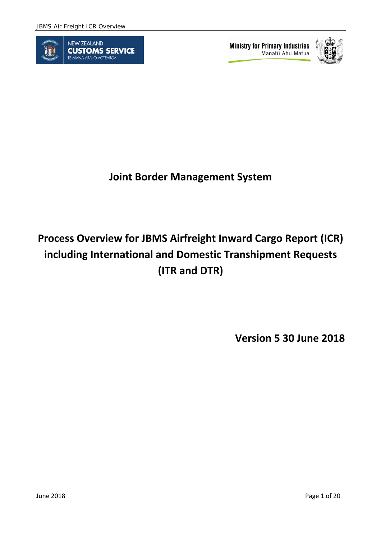

**Ministry for Primary Industries** Manatū Ahu Matua



**Joint Border Management System** 

# **Process Overview for JBMS Airfreight Inward Cargo Report (ICR) including International and Domestic Transhipment Requests (ITR and DTR)**

**Version 5 30 June 2018**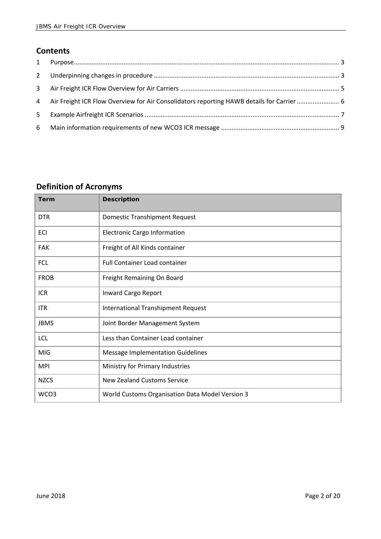## **Contents**

| $2^{\circ}$ |                                                                                             |  |
|-------------|---------------------------------------------------------------------------------------------|--|
|             |                                                                                             |  |
|             | 4 Air Freight ICR Flow Overview for Air Consolidators reporting HAWB details for Carrier  6 |  |
| $5 -$       |                                                                                             |  |
| 6           |                                                                                             |  |

## **Definition of Acronyms**

| <b>Term</b> | <b>Description</b>                              |
|-------------|-------------------------------------------------|
| <b>DTR</b>  | <b>Domestic Transhipment Request</b>            |
| ECI         | <b>Electronic Cargo Information</b>             |
| <b>FAK</b>  | Freight of All Kinds container                  |
| <b>FCL</b>  | <b>Full Container Load container</b>            |
| <b>FROB</b> | Freight Remaining On Board                      |
| <b>ICR</b>  | Inward Cargo Report                             |
| <b>ITR</b>  | <b>International Transhipment Request</b>       |
| <b>JBMS</b> | Joint Border Management System                  |
| <b>LCL</b>  | Less than Container Load container              |
| <b>MIG</b>  | <b>Message Implementation Guidelines</b>        |
| <b>MPI</b>  | Ministry for Primary Industries                 |
| <b>NZCS</b> | <b>New Zealand Customs Service</b>              |
| WCO3        | World Customs Organisation Data Model Version 3 |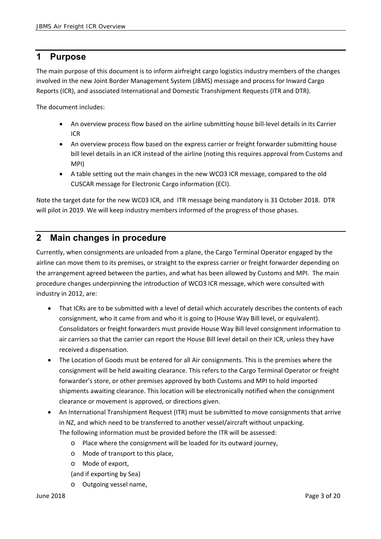## **1 Purpose**

The main purpose of this document is to inform airfreight cargo logistics industry members of the changes involved in the new Joint Border Management System (JBMS) message and process for Inward Cargo Reports (ICR), and associated International and Domestic Transhipment Requests (ITR and DTR).

The document includes:

- An overview process flow based on the airline submitting house bill-level details in its Carrier ICR
- An overview process flow based on the express carrier or freight forwarder submitting house bill level details in an ICR instead of the airline (noting this requires approval from Customs and MPI)
- A table setting out the main changes in the new WCO3 ICR message, compared to the old CUSCAR message for Electronic Cargo information (ECI).

Note the target date for the new WC03 ICR, and ITR message being mandatory is 31 October 2018. DTR will pilot in 2019. We will keep industry members informed of the progress of those phases.

## **2 Main changes in procedure**

Currently, when consignments are unloaded from a plane, the Cargo Terminal Operator engaged by the airline can move them to its premises, or straight to the express carrier or freight forwarder depending on the arrangement agreed between the parties, and what has been allowed by Customs and MPI. The main procedure changes underpinning the introduction of WCO3 ICR message, which were consulted with industry in 2012, are:

- That ICRs are to be submitted with a level of detail which accurately describes the contents of each consignment, who it came from and who it is going to (House Way Bill level, or equivalent). Consolidators or freight forwarders must provide House Way Bill level consignment information to air carriers so that the carrier can report the House Bill level detail on their ICR, unless they have received a dispensation.
- The Location of Goods must be entered for all Air consignments. This is the premises where the consignment will be held awaiting clearance. This refers to the Cargo Terminal Operator or freight forwarder's store, or other premises approved by both Customs and MPI to hold imported shipments awaiting clearance. This location will be electronically notified when the consignment clearance or movement is approved, or directions given.
- An International Transhipment Request (ITR) must be submitted to move consignments that arrive in NZ, and which need to be transferred to another vessel/aircraft without unpacking. The following information must be provided before the ITR will be assessed:
	- o Place where the consignment will be loaded for its outward journey,
	- o Mode of transport to this place,
	- o Mode of export,
	- (and if exporting by Sea)
	- o Outgoing vessel name,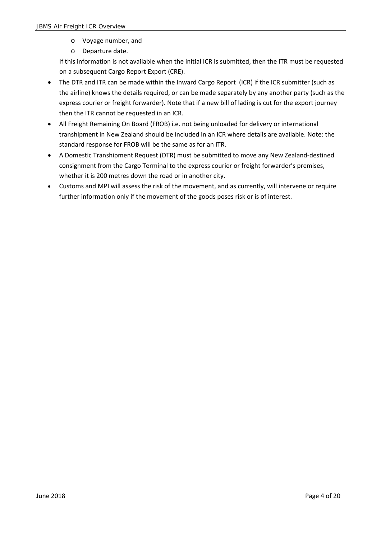- o Voyage number, and
- o Departure date.

If this information is not available when the initial ICR is submitted, then the ITR must be requested on a subsequent Cargo Report Export (CRE).

- The DTR and ITR can be made within the Inward Cargo Report (ICR) if the ICR submitter (such as the airline) knows the details required, or can be made separately by any another party (such as the express courier or freight forwarder). Note that if a new bill of lading is cut for the export journey then the ITR cannot be requested in an ICR.
- All Freight Remaining On Board (FROB) i.e. not being unloaded for delivery or international transhipment in New Zealand should be included in an ICR where details are available. Note: the standard response for FROB will be the same as for an ITR.
- A Domestic Transhipment Request (DTR) must be submitted to move any New Zealand‐destined consignment from the Cargo Terminal to the express courier or freight forwarder's premises, whether it is 200 metres down the road or in another city.
- Customs and MPI will assess the risk of the movement, and as currently, will intervene or require further information only if the movement of the goods poses risk or is of interest.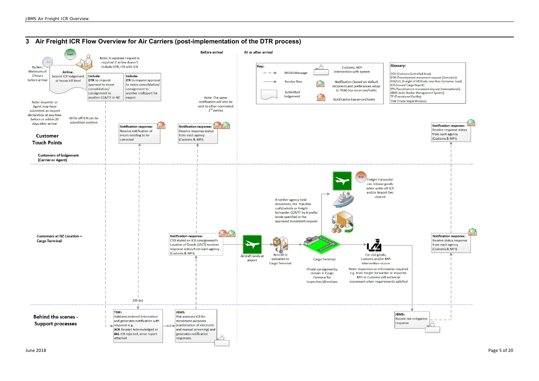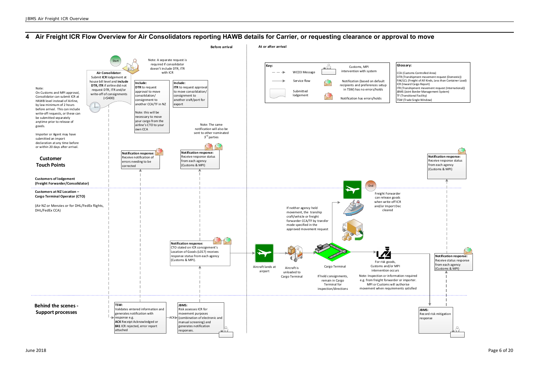## **4 Air Freight ICR Flow Overview for Air Consolidators reporting HAWB details for Carrier, or requesting clearance or approval to move**



- 
- 
- 
- 
- 
- 
-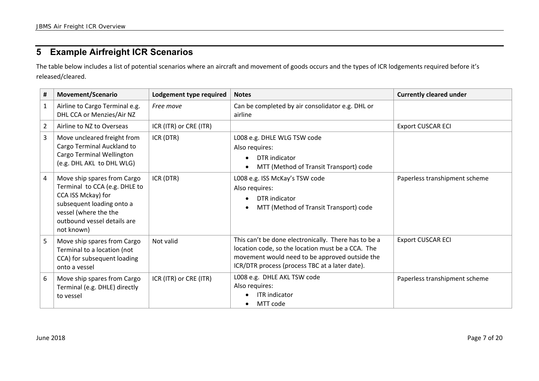## **5 Example Airfreight ICR Scenarios**

The table below includes a list of potential scenarios where an aircraft and movement of goods occurs and the types of ICR lodgements required before it's released/cleared.

| #              | <b>Movement/Scenario</b>                                                                                                                                                              | Lodgement type required | <b>Notes</b>                                                                                                                                                                                                  | <b>Currently cleared under</b> |
|----------------|---------------------------------------------------------------------------------------------------------------------------------------------------------------------------------------|-------------------------|---------------------------------------------------------------------------------------------------------------------------------------------------------------------------------------------------------------|--------------------------------|
| 1              | Airline to Cargo Terminal e.g.<br>DHL CCA or Menzies/Air NZ                                                                                                                           | Free move               | Can be completed by air consolidator e.g. DHL or<br>airline                                                                                                                                                   |                                |
| $\overline{2}$ | Airline to NZ to Overseas                                                                                                                                                             | ICR (ITR) or CRE (ITR)  |                                                                                                                                                                                                               | <b>Export CUSCAR ECI</b>       |
| 3              | Move uncleared freight from<br>Cargo Terminal Auckland to<br>Cargo Terminal Wellington<br>(e.g. DHL AKL to DHL WLG)                                                                   | ICR (DTR)               | L008 e.g. DHLE WLG TSW code<br>Also requires:<br>DTR indicator<br>$\bullet$<br>MTT (Method of Transit Transport) code                                                                                         |                                |
| 4              | Move ship spares from Cargo<br>Terminal to CCA (e.g. DHLE to<br>CCA ISS Mckay) for<br>subsequent loading onto a<br>vessel (where the the<br>outbound vessel details are<br>not known) | ICR (DTR)               | L008 e.g. ISS McKay's TSW code<br>Also requires:<br>DTR indicator<br>MTT (Method of Transit Transport) code                                                                                                   | Paperless transhipment scheme  |
| 5              | Move ship spares from Cargo<br>Terminal to a location (not<br>CCA) for subsequent loading<br>onto a vessel                                                                            | Not valid               | This can't be done electronically. There has to be a<br>location code, so the location must be a CCA. The<br>movement would need to be approved outside the<br>ICR/DTR process (process TBC at a later date). | <b>Export CUSCAR ECI</b>       |
| 6              | Move ship spares from Cargo<br>Terminal (e.g. DHLE) directly<br>to vessel                                                                                                             | ICR (ITR) or CRE (ITR)  | L008 e.g. DHLE AKL TSW code<br>Also requires:<br><b>ITR</b> indicator<br>MTT code                                                                                                                             | Paperless transhipment scheme  |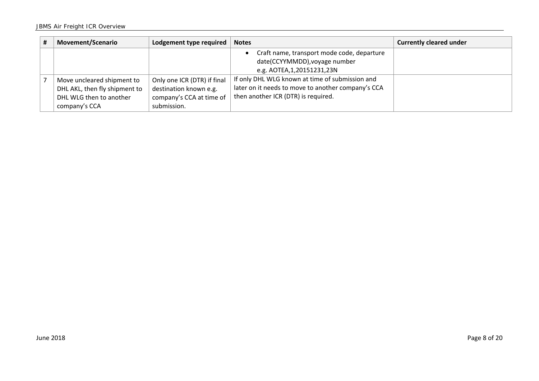| # | <b>Movement/Scenario</b>                                                                                | Lodgement type required                                                                          | <b>Notes</b>                                                                                                                                 | <b>Currently cleared under</b> |
|---|---------------------------------------------------------------------------------------------------------|--------------------------------------------------------------------------------------------------|----------------------------------------------------------------------------------------------------------------------------------------------|--------------------------------|
|   |                                                                                                         |                                                                                                  | Craft name, transport mode code, departure<br>date(CCYYMMDD), voyage number<br>e.g. AOTEA, 1, 20151231, 23N                                  |                                |
|   | Move uncleared shipment to<br>DHL AKL, then fly shipment to<br>DHL WLG then to another<br>company's CCA | Only one ICR (DTR) if final<br>destination known e.g.<br>company's CCA at time of<br>submission. | If only DHL WLG known at time of submission and<br>later on it needs to move to another company's CCA<br>then another ICR (DTR) is required. |                                |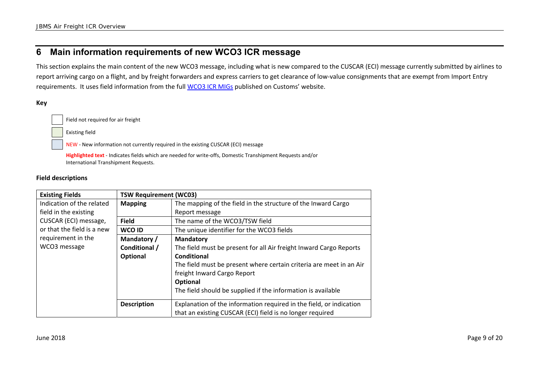## **6 Main information requirements of new WCO3 ICR message**

This section explains the main content of the new WCO3 message, including what is new compared to the CUSCAR (ECI) message currently submitted by airlines to report arriving cargo on a flight, and by freight forwarders and express carriers to get clearance of low-value consignments that are exempt from Import Entry requirements. It uses field information from the full WCO3 ICR MIGs published on Customs' website.

#### **Key**

Field not required for air freight

Existing field

NEW ‐ New information not currently required in the existing CUSCAR (ECI) message

**Highlighted text** ‐ Indicates fields which are needed for write‐offs, Domestic Transhipment Requests and/or International Transhipment Requests.

#### **Field descriptions**

| <b>Existing Fields</b>     | <b>TSW Requirement (WC03)</b> |                                                                                                                                  |  |  |  |  |  |
|----------------------------|-------------------------------|----------------------------------------------------------------------------------------------------------------------------------|--|--|--|--|--|
| Indication of the related  | <b>Mapping</b>                | The mapping of the field in the structure of the Inward Cargo                                                                    |  |  |  |  |  |
| field in the existing      |                               | Report message                                                                                                                   |  |  |  |  |  |
| CUSCAR (ECI) message,      | <b>Field</b>                  | The name of the WCO3/TSW field                                                                                                   |  |  |  |  |  |
| or that the field is a new | WCO ID                        | The unique identifier for the WCO3 fields                                                                                        |  |  |  |  |  |
| requirement in the         | Mandatory /                   | <b>Mandatory</b>                                                                                                                 |  |  |  |  |  |
| WCO3 message               | Conditional /                 | The field must be present for all Air freight Inward Cargo Reports                                                               |  |  |  |  |  |
|                            | <b>Optional</b>               | Conditional                                                                                                                      |  |  |  |  |  |
|                            |                               | The field must be present where certain criteria are meet in an Air                                                              |  |  |  |  |  |
|                            |                               | freight Inward Cargo Report                                                                                                      |  |  |  |  |  |
|                            |                               | Optional                                                                                                                         |  |  |  |  |  |
|                            |                               | The field should be supplied if the information is available                                                                     |  |  |  |  |  |
|                            |                               |                                                                                                                                  |  |  |  |  |  |
|                            |                               |                                                                                                                                  |  |  |  |  |  |
|                            | <b>Description</b>            | Explanation of the information required in the field, or indication<br>that an existing CUSCAR (ECI) field is no longer required |  |  |  |  |  |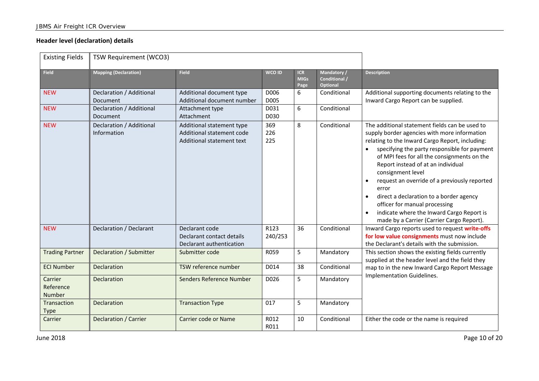### **Header level (declaration) details**

| <b>Existing Fields</b>         | TSW Requirement (WCO3)                  |                                                                                     |                   |                                   |                                                 |                                                                                                                                                                                                                                                                                                                                                                                                                                                                                                                                                         |
|--------------------------------|-----------------------------------------|-------------------------------------------------------------------------------------|-------------------|-----------------------------------|-------------------------------------------------|---------------------------------------------------------------------------------------------------------------------------------------------------------------------------------------------------------------------------------------------------------------------------------------------------------------------------------------------------------------------------------------------------------------------------------------------------------------------------------------------------------------------------------------------------------|
| <b>Field</b>                   | <b>Mapping (Declaration)</b>            | <b>Field</b>                                                                        | WCO ID            | <b>ICR</b><br><b>MIGs</b><br>Page | Mandatory /<br><b>Conditional /</b><br>Optional | <b>Description</b>                                                                                                                                                                                                                                                                                                                                                                                                                                                                                                                                      |
| <b>NEW</b>                     | Declaration / Additional<br>Document    | Additional document type<br>Additional document number                              | D006<br>D005      | 6                                 | Conditional                                     | Additional supporting documents relating to the<br>Inward Cargo Report can be supplied.                                                                                                                                                                                                                                                                                                                                                                                                                                                                 |
| <b>NEW</b>                     | Declaration / Additional<br>Document    | Attachment type<br>Attachment                                                       | D031<br>D030      | 6                                 | Conditional                                     |                                                                                                                                                                                                                                                                                                                                                                                                                                                                                                                                                         |
| <b>NEW</b>                     | Declaration / Additional<br>Information | Additional statement type<br>Additional statement code<br>Additional statement text | 369<br>226<br>225 | 8                                 | Conditional                                     | The additional statement fields can be used to<br>supply border agencies with more information<br>relating to the Inward Cargo Report, including:<br>specifying the party responsible for payment<br>of MPI fees for all the consignments on the<br>Report instead of at an individual<br>consignment level<br>request an override of a previously reported<br>error<br>direct a declaration to a border agency<br>officer for manual processing<br>indicate where the Inward Cargo Report is<br>$\bullet$<br>made by a Carrier (Carrier Cargo Report). |
| <b>NEW</b>                     | Declaration / Declarant                 | Declarant code<br>Declarant contact details<br>Declarant authentication             | R123<br>240/253   | 36                                | Conditional                                     | Inward Cargo reports used to request write-offs<br>for low value consignments must now include<br>the Declarant's details with the submission.                                                                                                                                                                                                                                                                                                                                                                                                          |
| <b>Trading Partner</b>         | Declaration / Submitter                 | Submitter code                                                                      | R059              | 5                                 | Mandatory                                       | This section shows the existing fields currently<br>supplied at the header level and the field they                                                                                                                                                                                                                                                                                                                                                                                                                                                     |
| <b>ECI Number</b>              | Declaration                             | TSW reference number                                                                | D014              | 38                                | Conditional                                     | map to in the new Inward Cargo Report Message                                                                                                                                                                                                                                                                                                                                                                                                                                                                                                           |
| Carrier<br>Reference<br>Number | Declaration                             | Senders Reference Number                                                            | D026              | 5                                 | Mandatory                                       | Implementation Guidelines.                                                                                                                                                                                                                                                                                                                                                                                                                                                                                                                              |
| Transaction<br><b>Type</b>     | <b>Declaration</b>                      | <b>Transaction Type</b>                                                             | 017               | 5                                 | Mandatory                                       |                                                                                                                                                                                                                                                                                                                                                                                                                                                                                                                                                         |
| Carrier                        | Declaration / Carrier                   | Carrier code or Name                                                                | R012<br>R011      | 10                                | Conditional                                     | Either the code or the name is required                                                                                                                                                                                                                                                                                                                                                                                                                                                                                                                 |

June 2018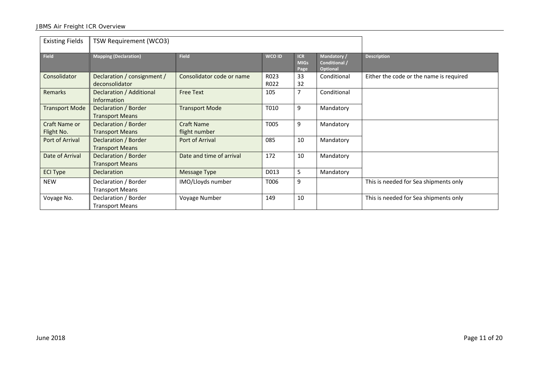| <b>Existing Fields</b>      | TSW Requirement (WCO3)                         |                                    |               |                                   |                                                 |                                         |
|-----------------------------|------------------------------------------------|------------------------------------|---------------|-----------------------------------|-------------------------------------------------|-----------------------------------------|
| <b>Field</b>                | <b>Mapping (Declaration)</b>                   | <b>Field</b>                       | <b>WCO ID</b> | <b>ICR</b><br><b>MIGs</b><br>Page | Mandatory /<br>Conditional /<br><b>Optional</b> | <b>Description</b>                      |
| Consolidator                | Declaration / consignment /<br>deconsolidator  | Consolidator code or name          | R023<br>R022  | 33<br>32                          | Conditional                                     | Either the code or the name is required |
| Remarks                     | Declaration / Additional<br><b>Information</b> | <b>Free Text</b>                   | 105           | 7                                 | Conditional                                     |                                         |
| <b>Transport Mode</b>       | Declaration / Border<br><b>Transport Means</b> | <b>Transport Mode</b>              | T010          | 9                                 | Mandatory                                       |                                         |
| Craft Name or<br>Flight No. | Declaration / Border<br><b>Transport Means</b> | <b>Craft Name</b><br>flight number | T005          | 9                                 | Mandatory                                       |                                         |
| Port of Arrival             | Declaration / Border<br><b>Transport Means</b> | Port of Arrival                    | 085           | 10                                | Mandatory                                       |                                         |
| Date of Arrival             | Declaration / Border<br><b>Transport Means</b> | Date and time of arrival           | 172           | 10                                | Mandatory                                       |                                         |
| <b>ECI Type</b>             | Declaration                                    | Message Type                       | D013          | 5                                 | Mandatory                                       |                                         |
| <b>NEW</b>                  | Declaration / Border<br><b>Transport Means</b> | IMO/Lloyds number                  | T006          | 9                                 |                                                 | This is needed for Sea shipments only   |
| Voyage No.                  | Declaration / Border<br><b>Transport Means</b> | Voyage Number                      | 149           | 10                                |                                                 | This is needed for Sea shipments only   |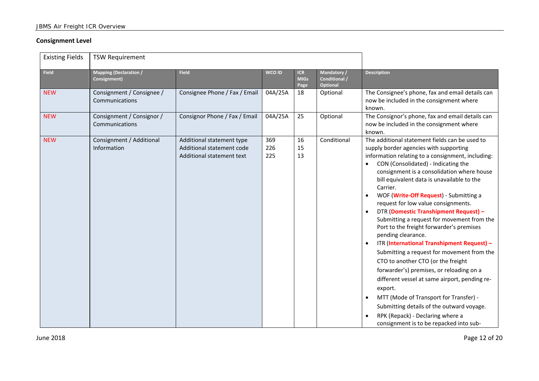#### **Consignment Level**

| <b>Existing Fields</b> | <b>TSW Requirement</b>                        |                                                                                     |                   |                                   |                                                 |                                                                                                                                                                                                                                                                                                                                                                                                                                                                                                                                                                                                                                                                                                                                                                                                                                                                                                                                                                     |
|------------------------|-----------------------------------------------|-------------------------------------------------------------------------------------|-------------------|-----------------------------------|-------------------------------------------------|---------------------------------------------------------------------------------------------------------------------------------------------------------------------------------------------------------------------------------------------------------------------------------------------------------------------------------------------------------------------------------------------------------------------------------------------------------------------------------------------------------------------------------------------------------------------------------------------------------------------------------------------------------------------------------------------------------------------------------------------------------------------------------------------------------------------------------------------------------------------------------------------------------------------------------------------------------------------|
| <b>Field</b>           | <b>Mapping (Declaration /</b><br>Consignment) | <b>Field</b>                                                                        | <b>WCO ID</b>     | <b>ICR</b><br><b>MIGs</b><br>Page | Mandatory /<br>Conditional /<br><b>Optional</b> | <b>Description</b>                                                                                                                                                                                                                                                                                                                                                                                                                                                                                                                                                                                                                                                                                                                                                                                                                                                                                                                                                  |
| <b>NEW</b>             | Consignment / Consignee /<br>Communications   | Consignee Phone / Fax / Email                                                       | 04A/25A           | 18                                | Optional                                        | The Consignee's phone, fax and email details can<br>now be included in the consignment where<br>known.                                                                                                                                                                                                                                                                                                                                                                                                                                                                                                                                                                                                                                                                                                                                                                                                                                                              |
| <b>NEW</b>             | Consignment / Consignor /<br>Communications   | Consignor Phone / Fax / Email                                                       | 04A/25A           | 25                                | Optional                                        | The Consignor's phone, fax and email details can<br>now be included in the consignment where<br>known.                                                                                                                                                                                                                                                                                                                                                                                                                                                                                                                                                                                                                                                                                                                                                                                                                                                              |
| <b>NEW</b>             | Consignment / Additional<br>Information       | Additional statement type<br>Additional statement code<br>Additional statement text | 369<br>226<br>225 | 16<br>15<br>13                    | Conditional                                     | The additional statement fields can be used to<br>supply border agencies with supporting<br>information relating to a consignment, including:<br>CON (Consolidated) - Indicating the<br>consignment is a consolidation where house<br>bill equivalent data is unavailable to the<br>Carrier.<br>WOF (Write-Off Request) - Submitting a<br>request for low value consignments.<br>DTR (Domestic Transhipment Request) -<br>Submitting a request for movement from the<br>Port to the freight forwarder's premises<br>pending clearance.<br>ITR (International Transhipment Request) -<br>Submitting a request for movement from the<br>CTO to another CTO (or the freight<br>forwarder's) premises, or reloading on a<br>different vessel at same airport, pending re-<br>export.<br>MTT (Mode of Transport for Transfer) -<br>$\bullet$<br>Submitting details of the outward voyage.<br>RPK (Repack) - Declaring where a<br>consignment is to be repacked into sub- |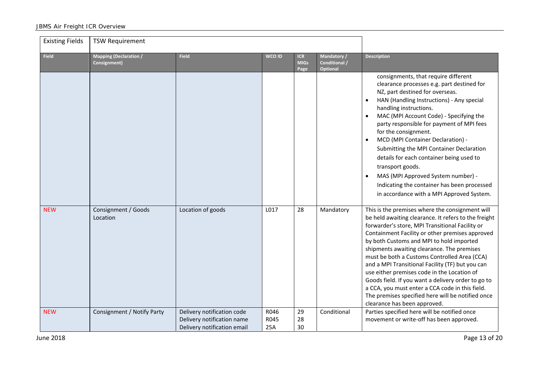| <b>Existing Fields</b> | <b>TSW Requirement</b>                        |                                                                                         |                     |                                   |                                          |                                                                                                                                                                                                                                                                                                                                                                                                                                                                                                                                                                                                                                                          |
|------------------------|-----------------------------------------------|-----------------------------------------------------------------------------------------|---------------------|-----------------------------------|------------------------------------------|----------------------------------------------------------------------------------------------------------------------------------------------------------------------------------------------------------------------------------------------------------------------------------------------------------------------------------------------------------------------------------------------------------------------------------------------------------------------------------------------------------------------------------------------------------------------------------------------------------------------------------------------------------|
| <b>Field</b>           | <b>Mapping (Declaration /</b><br>Consignment) | <b>Field</b>                                                                            | WCO ID              | <b>ICR</b><br><b>MIGs</b><br>Page | Mandatory /<br>Conditional /<br>Optional | <b>Description</b>                                                                                                                                                                                                                                                                                                                                                                                                                                                                                                                                                                                                                                       |
|                        |                                               |                                                                                         |                     |                                   |                                          | consignments, that require different<br>clearance processes e.g. part destined for<br>NZ, part destined for overseas.<br>HAN (Handling Instructions) - Any special<br>handling instructions.<br>MAC (MPI Account Code) - Specifying the<br>party responsible for payment of MPI fees<br>for the consignment.<br>MCD (MPI Container Declaration) -<br>Submitting the MPI Container Declaration<br>details for each container being used to<br>transport goods.<br>MAS (MPI Approved System number) -<br>Indicating the container has been processed<br>in accordance with a MPI Approved System.                                                          |
| <b>NEW</b>             | Consignment / Goods<br>Location               | Location of goods                                                                       | L017                | 28                                | Mandatory                                | This is the premises where the consignment will<br>be held awaiting clearance. It refers to the freight<br>forwarder's store, MPI Transitional Facility or<br>Containment Facility or other premises approved<br>by both Customs and MPI to hold imported<br>shipments awaiting clearance. The premises<br>must be both a Customs Controlled Area (CCA)<br>and a MPI Transitional Facility (TF) but you can<br>use either premises code in the Location of<br>Goods field. If you want a delivery order to go to<br>a CCA, you must enter a CCA code in this field.<br>The premises specified here will be notified once<br>clearance has been approved. |
| <b>NEW</b>             | Consignment / Notify Party                    | Delivery notification code<br>Delivery notification name<br>Delivery notification email | R046<br>R045<br>25A | 29<br>28<br>30                    | Conditional                              | Parties specified here will be notified once<br>movement or write-off has been approved.                                                                                                                                                                                                                                                                                                                                                                                                                                                                                                                                                                 |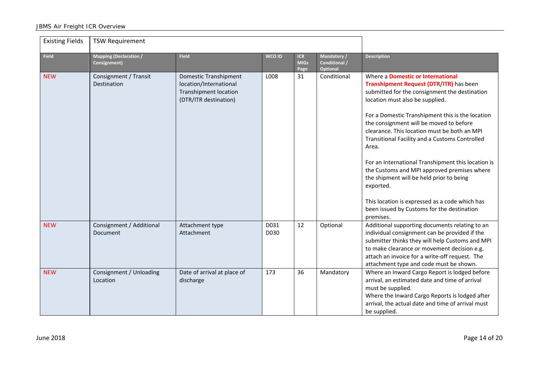| <b>Existing Fields</b> | <b>TSW Requirement</b>                        |                                                                                                          |               |                                   |                                                |                                                                                                                                                                                                                                                                                                                                                                                                                                                                                                                                                                                                                                                              |
|------------------------|-----------------------------------------------|----------------------------------------------------------------------------------------------------------|---------------|-----------------------------------|------------------------------------------------|--------------------------------------------------------------------------------------------------------------------------------------------------------------------------------------------------------------------------------------------------------------------------------------------------------------------------------------------------------------------------------------------------------------------------------------------------------------------------------------------------------------------------------------------------------------------------------------------------------------------------------------------------------------|
| <b>Field</b>           | <b>Mapping (Declaration /</b><br>Consignment) | <b>Field</b>                                                                                             | <b>WCO ID</b> | <b>ICR</b><br><b>MIGs</b><br>Page | Mandatory/<br>Conditional /<br><b>Optional</b> | <b>Description</b>                                                                                                                                                                                                                                                                                                                                                                                                                                                                                                                                                                                                                                           |
| <b>NEW</b>             | Consignment / Transit<br>Destination          | Domestic Transhipment<br>location/International<br><b>Transhipment location</b><br>(DTR/ITR destination) | L008          | 31                                | Conditional                                    | Where a <b>Domestic or International</b><br>Transhipment Request (DTR/ITR) has been<br>submitted for the consignment the destination<br>location must also be supplied.<br>For a Domestic Transhipment this is the location<br>the consignment will be moved to before<br>clearance. This location must be both an MPI<br>Transitional Facility and a Customs Controlled<br>Area.<br>For an International Transhipment this location is<br>the Customs and MPI approved premises where<br>the shipment will be held prior to being<br>exported.<br>This location is expressed as a code which has<br>been issued by Customs for the destination<br>premises. |
| <b>NEW</b>             | Consignment / Additional<br>Document          | Attachment type<br>Attachment                                                                            | D031<br>D030  | 12                                | Optional                                       | Additional supporting documents relating to an<br>individual consignment can be provided if the<br>submitter thinks they will help Customs and MPI<br>to make clearance or movement decision e.g.<br>attach an invoice for a write-off request. The<br>attachment type and code must be shown.                                                                                                                                                                                                                                                                                                                                                               |
| <b>NEW</b>             | Consignment / Unloading<br>Location           | Date of arrival at place of<br>discharge                                                                 | 173           | 36                                | Mandatory                                      | Where an Inward Cargo Report is lodged before<br>arrival, an estimated date and time of arrival<br>must be supplied.<br>Where the Inward Cargo Reports is lodged after<br>arrival, the actual date and time of arrival must<br>be supplied.                                                                                                                                                                                                                                                                                                                                                                                                                  |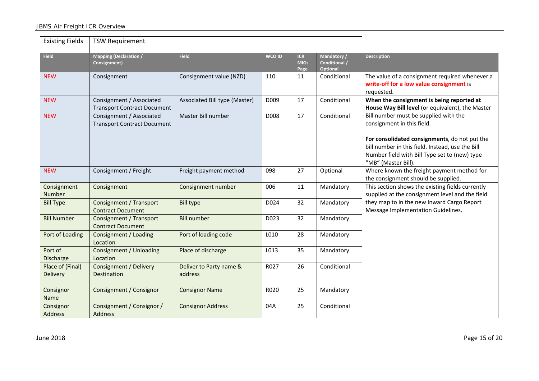| <b>Existing Fields</b>       | <b>TSW Requirement</b>                                         |                                    |               |                                   |                                                |                                                                                                                                                                           |
|------------------------------|----------------------------------------------------------------|------------------------------------|---------------|-----------------------------------|------------------------------------------------|---------------------------------------------------------------------------------------------------------------------------------------------------------------------------|
| <b>Field</b>                 | <b>Mapping (Declaration /</b><br>Consignment)                  | <b>Field</b>                       | <b>WCO ID</b> | <b>ICR</b><br><b>MIGs</b><br>Page | Mandatory/<br><b>Conditional /</b><br>Optional | <b>Description</b>                                                                                                                                                        |
| <b>NEW</b>                   | Consignment                                                    | Consignment value (NZD)            | 110           | 11                                | Conditional                                    | The value of a consignment required whenever a<br>write-off for a low value consignment is<br>requested.                                                                  |
| <b>NEW</b>                   | Consignment / Associated<br><b>Transport Contract Document</b> | Associated Bill type (Master)      | D009          | 17                                | Conditional                                    | When the consignment is being reported at<br>House Way Bill level (or equivalent), the Master                                                                             |
| <b>NEW</b>                   | Consignment / Associated<br><b>Transport Contract Document</b> | Master Bill number                 | D008          | 17                                | Conditional                                    | Bill number must be supplied with the<br>consignment in this field.                                                                                                       |
|                              |                                                                |                                    |               |                                   |                                                | For consolidated consignments, do not put the<br>bill number in this field. Instead, use the Bill<br>Number field with Bill Type set to (new) type<br>"MB" (Master Bill). |
| <b>NEW</b>                   | Consignment / Freight                                          | Freight payment method             | 098           | 27                                | Optional                                       | Where known the freight payment method for<br>the consignment should be supplied.                                                                                         |
| Consignment<br>Number        | Consignment                                                    | Consignment number                 | 006           | 11                                | Mandatory                                      | This section shows the existing fields currently<br>supplied at the consignment level and the field                                                                       |
| <b>Bill Type</b>             | Consignment / Transport<br><b>Contract Document</b>            | <b>Bill type</b>                   | D024          | 32                                | Mandatory                                      | they map to in the new Inward Cargo Report<br>Message Implementation Guidelines.                                                                                          |
| <b>Bill Number</b>           | <b>Consignment / Transport</b><br><b>Contract Document</b>     | <b>Bill number</b>                 | D023          | 32                                | Mandatory                                      |                                                                                                                                                                           |
| Port of Loading              | Consignment / Loading<br>Location                              | Port of loading code               | L010          | 28                                | Mandatory                                      |                                                                                                                                                                           |
| Port of<br>Discharge         | Consignment / Unloading<br>Location                            | Place of discharge                 | L013          | 35                                | Mandatory                                      |                                                                                                                                                                           |
| Place of (Final)<br>Delivery | Consignment / Delivery<br><b>Destination</b>                   | Deliver to Party name &<br>address | R027          | 26                                | Conditional                                    |                                                                                                                                                                           |
| Consignor<br>Name            | Consignment / Consignor                                        | <b>Consignor Name</b>              | R020          | 25                                | Mandatory                                      |                                                                                                                                                                           |
| Consignor<br>Address         | Consignment / Consignor /<br><b>Address</b>                    | <b>Consignor Address</b>           | 04A           | 25                                | Conditional                                    |                                                                                                                                                                           |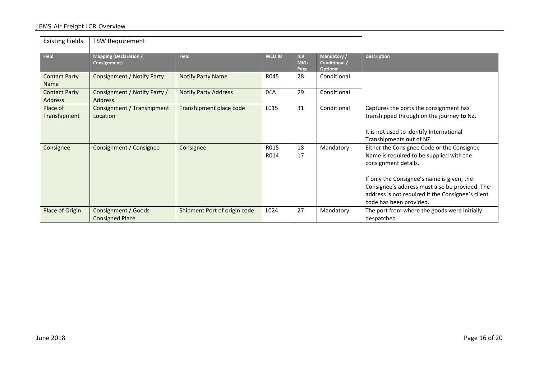| <b>Existing Fields</b>              | <b>TSW Requirement</b>                         |                              |               |                                   |                                          |                                                                                                                                                                                                                                                                                                |
|-------------------------------------|------------------------------------------------|------------------------------|---------------|-----------------------------------|------------------------------------------|------------------------------------------------------------------------------------------------------------------------------------------------------------------------------------------------------------------------------------------------------------------------------------------------|
| <b>Field</b>                        | <b>Mapping (Declaration /</b><br>Consignment)  | <b>Field</b>                 | <b>WCO ID</b> | <b>ICR</b><br><b>MIGs</b><br>Page | Mandatory /<br>Conditional /<br>Optional | <b>Description</b>                                                                                                                                                                                                                                                                             |
| <b>Contact Party</b><br><b>Name</b> | Consignment / Notify Party                     | <b>Notify Party Name</b>     | R045          | 28                                | Conditional                              |                                                                                                                                                                                                                                                                                                |
| <b>Contact Party</b><br>Address     | Consignment / Notify Party /<br><b>Address</b> | <b>Notify Party Address</b>  | 04A           | 29                                | Conditional                              |                                                                                                                                                                                                                                                                                                |
| Place of<br>Transhipment            | Consignment / Transhipment<br>Location         | Transhipment place code      | L015          | 31                                | Conditional                              | Captures the ports the consignment has<br>transhipped through on the journey to NZ.<br>It is not used to identify International<br>Transhipments out of NZ.                                                                                                                                    |
| Consignee                           | Consignment / Consignee                        | Consignee                    | R015<br>R014  | 18<br>17                          | Mandatory                                | Either the Consignee Code or the Consignee<br>Name is required to be supplied with the<br>consignment details.<br>If only the Consignee's name is given, the<br>Consignee's address must also be provided. The<br>address is not required if the Consignee's client<br>code has been provided. |
| Place of Origin                     | Consignment / Goods<br><b>Consigned Place</b>  | Shipment Port of origin code | L024          | 27                                | Mandatory                                | The port from where the goods were initially<br>despatched.                                                                                                                                                                                                                                    |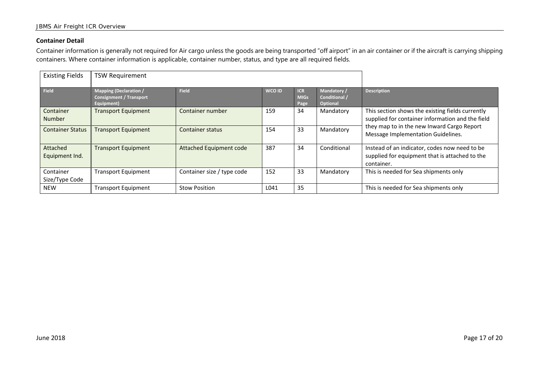#### **Container Detail**

Container information is generally not required for Air cargo unless the goods are being transported "off airport" in an air container or if the aircraft is carrying shipping containers. Where container information is applicable, container number, status, and type are all required fields.

| <b>Existing Fields</b>      | <b>TSW Requirement</b>                                                        |                            |        |                                   |                                                 |                                                                                                                                                                                          |
|-----------------------------|-------------------------------------------------------------------------------|----------------------------|--------|-----------------------------------|-------------------------------------------------|------------------------------------------------------------------------------------------------------------------------------------------------------------------------------------------|
| <b>Field</b>                | <b>Mapping (Declaration /</b><br><b>Consignment / Transport</b><br>Equipment) | <b>Field</b>               | WCO ID | <b>ICR</b><br><b>MIGs</b><br>Page | Mandatory /<br>Conditional /<br><b>Optional</b> | <b>Description</b>                                                                                                                                                                       |
| Container<br><b>Number</b>  | <b>Transport Equipment</b>                                                    | Container number           | 159    | 34                                | Mandatory                                       | This section shows the existing fields currently<br>supplied for container information and the field<br>they map to in the new Inward Cargo Report<br>Message Implementation Guidelines. |
| <b>Container Status</b>     | <b>Transport Equipment</b>                                                    | Container status           | 154    | 33                                | Mandatory                                       |                                                                                                                                                                                          |
| Attached<br>Equipment Ind.  | <b>Transport Equipment</b>                                                    | Attached Equipment code    | 387    | 34                                | Conditional                                     | Instead of an indicator, codes now need to be<br>supplied for equipment that is attached to the<br>container.                                                                            |
| Container<br>Size/Type Code | <b>Transport Equipment</b>                                                    | Container size / type code | 152    | 33                                | Mandatory                                       | This is needed for Sea shipments only                                                                                                                                                    |
| <b>NEW</b>                  | <b>Transport Equipment</b>                                                    | <b>Stow Position</b>       | L041   | 35                                |                                                 | This is needed for Sea shipments only                                                                                                                                                    |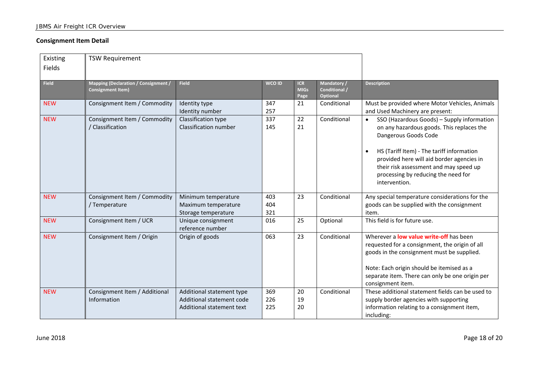#### **Consignment Item Detail**

| Existing     | <b>TSW Requirement</b>                                           |                                                                                     |                   |                                   |                                                        |                                                                                                                                                                                                                                                                                                                          |
|--------------|------------------------------------------------------------------|-------------------------------------------------------------------------------------|-------------------|-----------------------------------|--------------------------------------------------------|--------------------------------------------------------------------------------------------------------------------------------------------------------------------------------------------------------------------------------------------------------------------------------------------------------------------------|
| Fields       |                                                                  |                                                                                     |                   |                                   |                                                        |                                                                                                                                                                                                                                                                                                                          |
| <b>Field</b> | Mapping (Declaration / Consignment /<br><b>Consignment Item)</b> | <b>Field</b>                                                                        | WCO ID            | <b>ICR</b><br><b>MIGs</b><br>Page | Mandatory /<br><b>Conditional /</b><br><b>Optional</b> | <b>Description</b>                                                                                                                                                                                                                                                                                                       |
| <b>NEW</b>   | Consignment Item / Commodity                                     | Identity type<br>Identity number                                                    | 347<br>257        | 21                                | Conditional                                            | Must be provided where Motor Vehicles, Animals<br>and Used Machinery are present:                                                                                                                                                                                                                                        |
| <b>NEW</b>   | Consignment Item / Commodity<br>/ Classification                 | Classification type<br>Classification number                                        | 337<br>145        | 22<br>21                          | Conditional                                            | SSO (Hazardous Goods) - Supply information<br>$\bullet$<br>on any hazardous goods. This replaces the<br>Dangerous Goods Code<br>HS (Tariff Item) - The tariff information<br>provided here will aid border agencies in<br>their risk assessment and may speed up<br>processing by reducing the need for<br>intervention. |
| <b>NEW</b>   | Consignment Item / Commodity<br>/ Temperature                    | Minimum temperature<br>Maximum temperature<br>Storage temperature                   | 403<br>404<br>321 | 23                                | Conditional                                            | Any special temperature considerations for the<br>goods can be supplied with the consignment<br>item.                                                                                                                                                                                                                    |
| <b>NEW</b>   | Consignment Item / UCR                                           | Unique consignment<br>reference number                                              | 016               | 25                                | Optional                                               | This field is for future use.                                                                                                                                                                                                                                                                                            |
| <b>NEW</b>   | Consignment Item / Origin                                        | Origin of goods                                                                     | 063               | 23                                | Conditional                                            | Wherever a <b>low value write-off</b> has been<br>requested for a consignment, the origin of all<br>goods in the consignment must be supplied.<br>Note: Each origin should be itemised as a<br>separate item. There can only be one origin per<br>consignment item.                                                      |
| <b>NEW</b>   | Consignment Item / Additional<br>Information                     | Additional statement type<br>Additional statement code<br>Additional statement text | 369<br>226<br>225 | 20<br>19<br>20                    | Conditional                                            | These additional statement fields can be used to<br>supply border agencies with supporting<br>information relating to a consignment item,<br>including:                                                                                                                                                                  |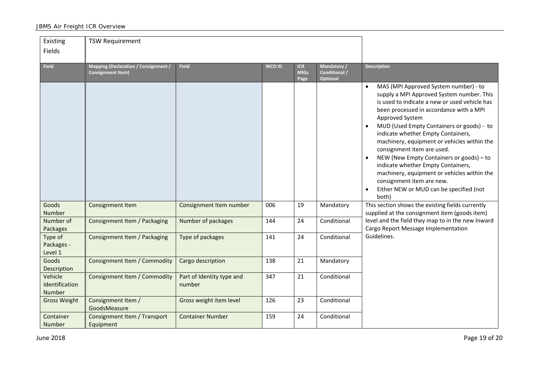| Existing                            | <b>TSW Requirement</b>                                           |                                     |               |                                   |                                                |                                                                                                                                                                                                                                                                                                                                                                                                                                                                                                                                                                                     |
|-------------------------------------|------------------------------------------------------------------|-------------------------------------|---------------|-----------------------------------|------------------------------------------------|-------------------------------------------------------------------------------------------------------------------------------------------------------------------------------------------------------------------------------------------------------------------------------------------------------------------------------------------------------------------------------------------------------------------------------------------------------------------------------------------------------------------------------------------------------------------------------------|
| Fields                              |                                                                  |                                     |               |                                   |                                                |                                                                                                                                                                                                                                                                                                                                                                                                                                                                                                                                                                                     |
| <b>Field</b>                        | Mapping (Declaration / Consignment /<br><b>Consignment Item)</b> | <b>Field</b>                        | <b>WCO ID</b> | <b>ICR</b><br><b>MIGs</b><br>Page | Mandatory/<br>Conditional /<br><b>Optional</b> | <b>Description</b>                                                                                                                                                                                                                                                                                                                                                                                                                                                                                                                                                                  |
|                                     |                                                                  |                                     |               |                                   |                                                | MAS (MPI Approved System number) - to<br>supply a MPI Approved System number. This<br>is used to indicate a new or used vehicle has<br>been processed in accordance with a MPI<br>Approved System<br>MUD (Used Empty Containers or goods) - to<br>indicate whether Empty Containers,<br>machinery, equipment or vehicles within the<br>consignment item are used.<br>NEW (New Empty Containers or goods) - to<br>indicate whether Empty Containers,<br>machinery, equipment or vehicles within the<br>consignment item are new.<br>Either NEW or MUD can be specified (not<br>both) |
| Goods<br><b>Number</b>              | <b>Consignment Item</b>                                          | Consignment Item number             | 006           | 19                                | Mandatory                                      | This section shows the existing fields currently<br>supplied at the consignment item (goods item)                                                                                                                                                                                                                                                                                                                                                                                                                                                                                   |
| Number of<br>Packages               | Consignment Item / Packaging                                     | Number of packages                  | 144           | 24                                | Conditional                                    | level and the field they map to in the new Inward<br>Cargo Report Message Implementation                                                                                                                                                                                                                                                                                                                                                                                                                                                                                            |
| Type of<br>Packages -<br>Level 1    | Consignment Item / Packaging                                     | Type of packages                    | 141           | 24                                | Conditional                                    | Guidelines.                                                                                                                                                                                                                                                                                                                                                                                                                                                                                                                                                                         |
| Goods<br>Description                | Consignment Item / Commodity                                     | Cargo description                   | 138           | 21                                | Mandatory                                      |                                                                                                                                                                                                                                                                                                                                                                                                                                                                                                                                                                                     |
| Vehicle<br>Identification<br>Number | <b>Consignment Item / Commodity</b>                              | Part of Identity type and<br>number | 347           | 21                                | Conditional                                    |                                                                                                                                                                                                                                                                                                                                                                                                                                                                                                                                                                                     |
| <b>Gross Weight</b>                 | Consignment Item /<br>GoodsMeasure                               | Gross weight item level             | 126           | 23                                | Conditional                                    |                                                                                                                                                                                                                                                                                                                                                                                                                                                                                                                                                                                     |
| Container<br><b>Number</b>          | Consignment Item / Transport<br>Equipment                        | <b>Container Number</b>             | 159           | 24                                | Conditional                                    |                                                                                                                                                                                                                                                                                                                                                                                                                                                                                                                                                                                     |